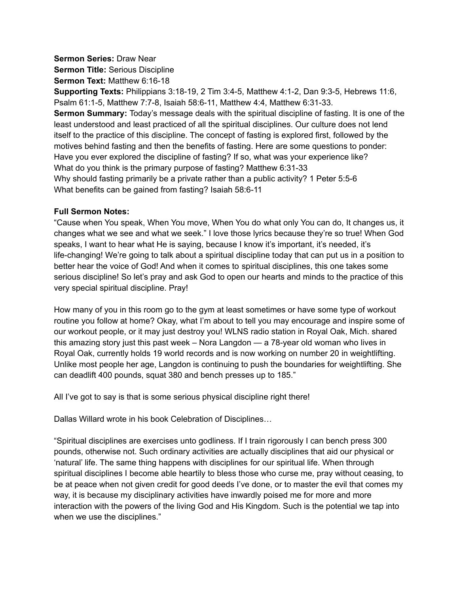### **Sermon Series:** Draw Near

**Sermon Title:** Serious Discipline

**Sermon Text:** Matthew 6:16-18

**Supporting Texts:** Philippians 3:18-19, 2 Tim 3:4-5, Matthew 4:1-2, Dan 9:3-5, Hebrews 11:6, Psalm 61:1-5, Matthew 7:7-8, Isaiah 58:6-11, Matthew 4:4, Matthew 6:31-33.

**Sermon Summary:** Today's message deals with the spiritual discipline of fasting. It is one of the least understood and least practiced of all the spiritual disciplines. Our culture does not lend itself to the practice of this discipline. The concept of fasting is explored first, followed by the motives behind fasting and then the benefits of fasting. Here are some questions to ponder: Have you ever explored the discipline of fasting? If so, what was your experience like? What do you think is the primary purpose of fasting? Matthew 6:31-33 Why should fasting primarily be a private rather than a public activity? 1 Peter 5:5-6 What benefits can be gained from fasting? Isaiah 58:6-11

#### **Full Sermon Notes:**

"Cause when You speak, When You move, When You do what only You can do, It changes us, it changes what we see and what we seek." I love those lyrics because they're so true! When God speaks, I want to hear what He is saying, because I know it's important, it's needed, it's life-changing! We're going to talk about a spiritual discipline today that can put us in a position to better hear the voice of God! And when it comes to spiritual disciplines, this one takes some serious discipline! So let's pray and ask God to open our hearts and minds to the practice of this very special spiritual discipline. Pray!

How many of you in this room go to the gym at least sometimes or have some type of workout routine you follow at home? Okay, what I'm about to tell you may encourage and inspire some of our workout people, or it may just destroy you! WLNS radio station in Royal Oak, Mich. shared this amazing story just this past week – Nora Langdon — a 78-year old woman who lives in Royal Oak, currently holds 19 world records and is now working on number 20 in weightlifting. Unlike most people her age, Langdon is continuing to push the boundaries for weightlifting. She can deadlift 400 pounds, squat 380 and bench presses up to 185."

All I've got to say is that is some serious physical discipline right there!

Dallas Willard wrote in his book Celebration of Disciplines…

"Spiritual disciplines are exercises unto godliness. If I train rigorously I can bench press 300 pounds, otherwise not. Such ordinary activities are actually disciplines that aid our physical or 'natural' life. The same thing happens with disciplines for our spiritual life. When through spiritual disciplines I become able heartily to bless those who curse me, pray without ceasing, to be at peace when not given credit for good deeds I've done, or to master the evil that comes my way, it is because my disciplinary activities have inwardly poised me for more and more interaction with the powers of the living God and His Kingdom. Such is the potential we tap into when we use the disciplines."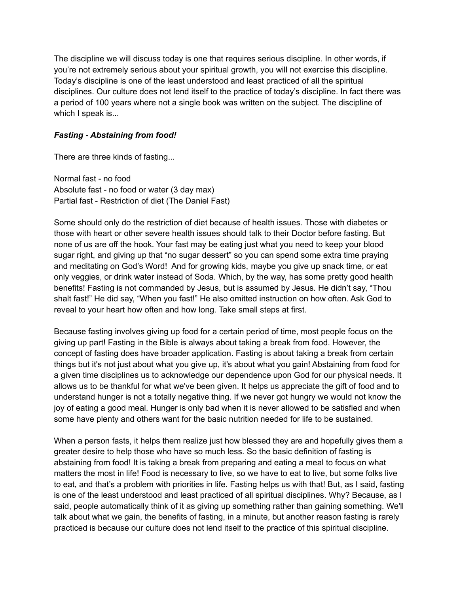The discipline we will discuss today is one that requires serious discipline. In other words, if you're not extremely serious about your spiritual growth, you will not exercise this discipline. Today's discipline is one of the least understood and least practiced of all the spiritual disciplines. Our culture does not lend itself to the practice of today's discipline. In fact there was a period of 100 years where not a single book was written on the subject. The discipline of which I speak is...

## *Fasting - Abstaining from food!*

There are three kinds of fasting...

Normal fast - no food Absolute fast - no food or water (3 day max) Partial fast - Restriction of diet (The Daniel Fast)

Some should only do the restriction of diet because of health issues. Those with diabetes or those with heart or other severe health issues should talk to their Doctor before fasting. But none of us are off the hook. Your fast may be eating just what you need to keep your blood sugar right, and giving up that "no sugar dessert" so you can spend some extra time praying and meditating on God's Word! And for growing kids, maybe you give up snack time, or eat only veggies, or drink water instead of Soda. Which, by the way, has some pretty good health benefits! Fasting is not commanded by Jesus, but is assumed by Jesus. He didn't say, "Thou shalt fast!" He did say, "When you fast!" He also omitted instruction on how often. Ask God to reveal to your heart how often and how long. Take small steps at first.

Because fasting involves giving up food for a certain period of time, most people focus on the giving up part! Fasting in the Bible is always about taking a break from food. However, the concept of fasting does have broader application. Fasting is about taking a break from certain things but it's not just about what you give up, it's about what you gain! Abstaining from food for a given time disciplines us to acknowledge our dependence upon God for our physical needs. It allows us to be thankful for what we've been given. It helps us appreciate the gift of food and to understand hunger is not a totally negative thing. If we never got hungry we would not know the joy of eating a good meal. Hunger is only bad when it is never allowed to be satisfied and when some have plenty and others want for the basic nutrition needed for life to be sustained.

When a person fasts, it helps them realize just how blessed they are and hopefully gives them a greater desire to help those who have so much less. So the basic definition of fasting is abstaining from food! It is taking a break from preparing and eating a meal to focus on what matters the most in life! Food is necessary to live, so we have to eat to live, but some folks live to eat, and that's a problem with priorities in life. Fasting helps us with that! But, as I said, fasting is one of the least understood and least practiced of all spiritual disciplines. Why? Because, as I said, people automatically think of it as giving up something rather than gaining something. We'll talk about what we gain, the benefits of fasting, in a minute, but another reason fasting is rarely practiced is because our culture does not lend itself to the practice of this spiritual discipline.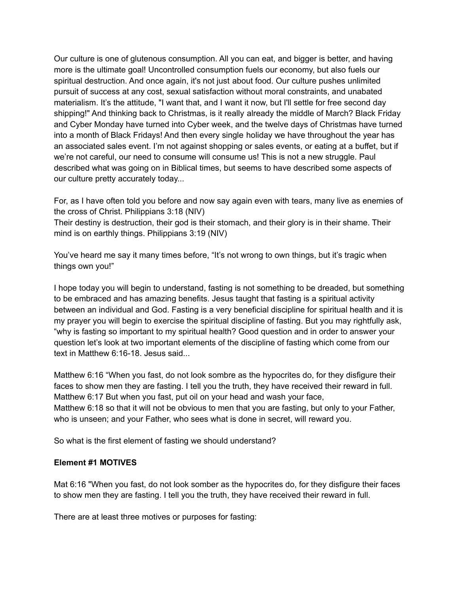Our culture is one of glutenous consumption. All you can eat, and bigger is better, and having more is the ultimate goal! Uncontrolled consumption fuels our economy, but also fuels our spiritual destruction. And once again, it's not just about food. Our culture pushes unlimited pursuit of success at any cost, sexual satisfaction without moral constraints, and unabated materialism. It's the attitude, "I want that, and I want it now, but I'll settle for free second day shipping!" And thinking back to Christmas, is it really already the middle of March? Black Friday and Cyber Monday have turned into Cyber week, and the twelve days of Christmas have turned into a month of Black Fridays! And then every single holiday we have throughout the year has an associated sales event. I'm not against shopping or sales events, or eating at a buffet, but if we're not careful, our need to consume will consume us! This is not a new struggle. Paul described what was going on in Biblical times, but seems to have described some aspects of our culture pretty accurately today...

For, as I have often told you before and now say again even with tears, many live as enemies of the cross of Christ. Philippians 3:18 (NIV)

Their destiny is destruction, their god is their stomach, and their glory is in their shame. Their mind is on earthly things. Philippians 3:19 (NIV)

You've heard me say it many times before, "It's not wrong to own things, but it's tragic when things own you!"

I hope today you will begin to understand, fasting is not something to be dreaded, but something to be embraced and has amazing benefits. Jesus taught that fasting is a spiritual activity between an individual and God. Fasting is a very beneficial discipline for spiritual health and it is my prayer you will begin to exercise the spiritual discipline of fasting. But you may rightfully ask, "why is fasting so important to my spiritual health? Good question and in order to answer your question let's look at two important elements of the discipline of fasting which come from our text in Matthew 6:16-18. Jesus said...

Matthew 6:16 "When you fast, do not look sombre as the hypocrites do, for they disfigure their faces to show men they are fasting. I tell you the truth, they have received their reward in full. Matthew 6:17 But when you fast, put oil on your head and wash your face, Matthew 6:18 so that it will not be obvious to men that you are fasting, but only to your Father, who is unseen; and your Father, who sees what is done in secret, will reward you.

So what is the first element of fasting we should understand?

#### **Element #1 MOTIVES**

Mat 6:16 "When you fast, do not look somber as the hypocrites do, for they disfigure their faces to show men they are fasting. I tell you the truth, they have received their reward in full.

There are at least three motives or purposes for fasting: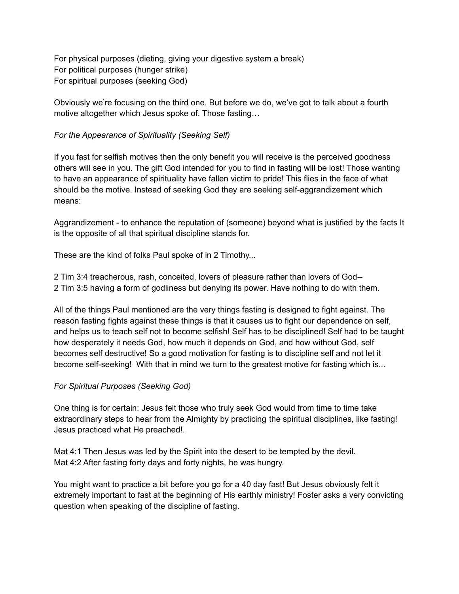For physical purposes (dieting, giving your digestive system a break) For political purposes (hunger strike) For spiritual purposes (seeking God)

Obviously we're focusing on the third one. But before we do, we've got to talk about a fourth motive altogether which Jesus spoke of. Those fasting…

# *For the Appearance of Spirituality (Seeking Self)*

If you fast for selfish motives then the only benefit you will receive is the perceived goodness others will see in you. The gift God intended for you to find in fasting will be lost! Those wanting to have an appearance of spirituality have fallen victim to pride! This flies in the face of what should be the motive. Instead of seeking God they are seeking self-aggrandizement which means:

Aggrandizement - to enhance the reputation of (someone) beyond what is justified by the facts It is the opposite of all that spiritual discipline stands for.

These are the kind of folks Paul spoke of in 2 Timothy...

2 Tim 3:4 treacherous, rash, conceited, lovers of pleasure rather than lovers of God-- 2 Tim 3:5 having a form of godliness but denying its power. Have nothing to do with them.

All of the things Paul mentioned are the very things fasting is designed to fight against. The reason fasting fights against these things is that it causes us to fight our dependence on self, and helps us to teach self not to become selfish! Self has to be disciplined! Self had to be taught how desperately it needs God, how much it depends on God, and how without God, self becomes self destructive! So a good motivation for fasting is to discipline self and not let it become self-seeking! With that in mind we turn to the greatest motive for fasting which is...

# *For Spiritual Purposes (Seeking God)*

One thing is for certain: Jesus felt those who truly seek God would from time to time take extraordinary steps to hear from the Almighty by practicing the spiritual disciplines, like fasting! Jesus practiced what He preached!.

Mat 4:1 Then Jesus was led by the Spirit into the desert to be tempted by the devil. Mat 4:2 After fasting forty days and forty nights, he was hungry.

You might want to practice a bit before you go for a 40 day fast! But Jesus obviously felt it extremely important to fast at the beginning of His earthly ministry! Foster asks a very convicting question when speaking of the discipline of fasting.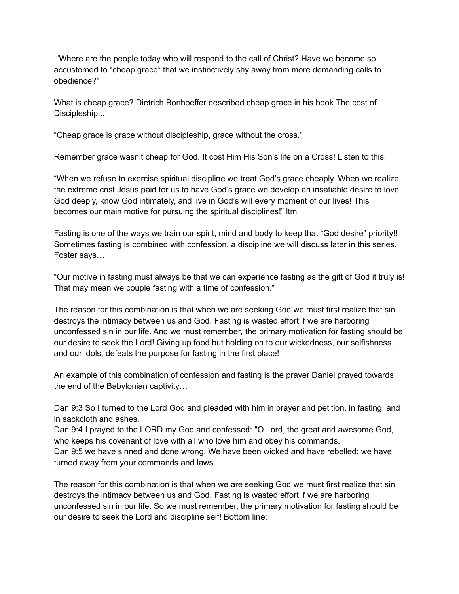"Where are the people today who will respond to the call of Christ? Have we become so accustomed to "cheap grace" that we instinctively shy away from more demanding calls to obedience?"

What is cheap grace? Dietrich Bonhoeffer described cheap grace in his book The cost of Discipleship...

"Cheap grace is grace without discipleship, grace without the cross."

Remember grace wasn't cheap for God. It cost Him His Son's life on a Cross! Listen to this:

"When we refuse to exercise spiritual discipline we treat God's grace cheaply. When we realize the extreme cost Jesus paid for us to have God's grace we develop an insatiable desire to love God deeply, know God intimately, and live in God's will every moment of our lives! This becomes our main motive for pursuing the spiritual disciplines!" ltm

Fasting is one of the ways we train our spirit, mind and body to keep that "God desire" priority!! Sometimes fasting is combined with confession, a discipline we will discuss later in this series. Foster says…

"Our motive in fasting must always be that we can experience fasting as the gift of God it truly is! That may mean we couple fasting with a time of confession."

The reason for this combination is that when we are seeking God we must first realize that sin destroys the intimacy between us and God. Fasting is wasted effort if we are harboring unconfessed sin in our life. And we must remember, the primary motivation for fasting should be our desire to seek the Lord! Giving up food but holding on to our wickedness, our selfishness, and our idols, defeats the purpose for fasting in the first place!

An example of this combination of confession and fasting is the prayer Daniel prayed towards the end of the Babylonian captivity…

Dan 9:3 So I turned to the Lord God and pleaded with him in prayer and petition, in fasting, and in sackcloth and ashes.

Dan 9:4 I prayed to the LORD my God and confessed: "O Lord, the great and awesome God, who keeps his covenant of love with all who love him and obey his commands,

Dan 9:5 we have sinned and done wrong. We have been wicked and have rebelled; we have turned away from your commands and laws.

The reason for this combination is that when we are seeking God we must first realize that sin destroys the intimacy between us and God. Fasting is wasted effort if we are harboring unconfessed sin in our life. So we must remember, the primary motivation for fasting should be our desire to seek the Lord and discipline self! Bottom line: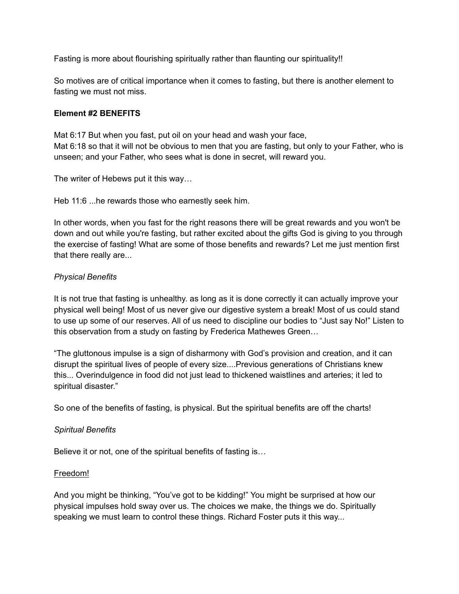Fasting is more about flourishing spiritually rather than flaunting our spirituality!!

So motives are of critical importance when it comes to fasting, but there is another element to fasting we must not miss.

## **Element #2 BENEFITS**

Mat 6:17 But when you fast, put oil on your head and wash your face, Mat 6:18 so that it will not be obvious to men that you are fasting, but only to your Father, who is unseen; and your Father, who sees what is done in secret, will reward you.

The writer of Hebews put it this way…

Heb 11:6 ...he rewards those who earnestly seek him.

In other words, when you fast for the right reasons there will be great rewards and you won't be down and out while you're fasting, but rather excited about the gifts God is giving to you through the exercise of fasting! What are some of those benefits and rewards? Let me just mention first that there really are...

## *Physical Benefits*

It is not true that fasting is unhealthy. as long as it is done correctly it can actually improve your physical well being! Most of us never give our digestive system a break! Most of us could stand to use up some of our reserves. All of us need to discipline our bodies to "Just say No!" Listen to this observation from a study on fasting by Frederica Mathewes Green…

"The gluttonous impulse is a sign of disharmony with God's provision and creation, and it can disrupt the spiritual lives of people of every size....Previous generations of Christians knew this... Overindulgence in food did not just lead to thickened waistlines and arteries; it led to spiritual disaster."

So one of the benefits of fasting, is physical. But the spiritual benefits are off the charts!

### *Spiritual Benefits*

Believe it or not, one of the spiritual benefits of fasting is…

### Freedom!

And you might be thinking, "You've got to be kidding!" You might be surprised at how our physical impulses hold sway over us. The choices we make, the things we do. Spiritually speaking we must learn to control these things. Richard Foster puts it this way...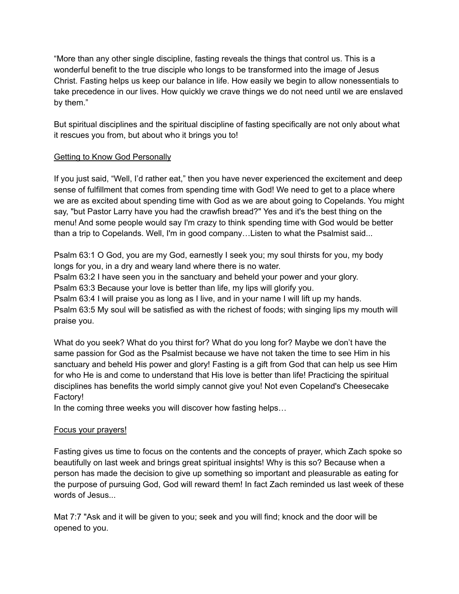"More than any other single discipline, fasting reveals the things that control us. This is a wonderful benefit to the true disciple who longs to be transformed into the image of Jesus Christ. Fasting helps us keep our balance in life. How easily we begin to allow nonessentials to take precedence in our lives. How quickly we crave things we do not need until we are enslaved by them."

But spiritual disciplines and the spiritual discipline of fasting specifically are not only about what it rescues you from, but about who it brings you to!

# Getting to Know God Personally

If you just said, "Well, I'd rather eat," then you have never experienced the excitement and deep sense of fulfillment that comes from spending time with God! We need to get to a place where we are as excited about spending time with God as we are about going to Copelands. You might say, "but Pastor Larry have you had the crawfish bread?" Yes and it's the best thing on the menu! And some people would say I'm crazy to think spending time with God would be better than a trip to Copelands. Well, I'm in good company…Listen to what the Psalmist said...

Psalm 63:1 O God, you are my God, earnestly I seek you; my soul thirsts for you, my body longs for you, in a dry and weary land where there is no water.

Psalm 63:2 I have seen you in the sanctuary and beheld your power and your glory.

Psalm 63:3 Because your love is better than life, my lips will glorify you.

Psalm 63:4 I will praise you as long as I live, and in your name I will lift up my hands.

Psalm 63:5 My soul will be satisfied as with the richest of foods; with singing lips my mouth will praise you.

What do you seek? What do you thirst for? What do you long for? Maybe we don't have the same passion for God as the Psalmist because we have not taken the time to see Him in his sanctuary and beheld His power and glory! Fasting is a gift from God that can help us see Him for who He is and come to understand that His love is better than life! Practicing the spiritual disciplines has benefits the world simply cannot give you! Not even Copeland's Cheesecake Factory!

In the coming three weeks you will discover how fasting helps…

# Focus your prayers!

Fasting gives us time to focus on the contents and the concepts of prayer, which Zach spoke so beautifully on last week and brings great spiritual insights! Why is this so? Because when a person has made the decision to give up something so important and pleasurable as eating for the purpose of pursuing God, God will reward them! In fact Zach reminded us last week of these words of Jesus...

Mat 7:7 "Ask and it will be given to you; seek and you will find; knock and the door will be opened to you.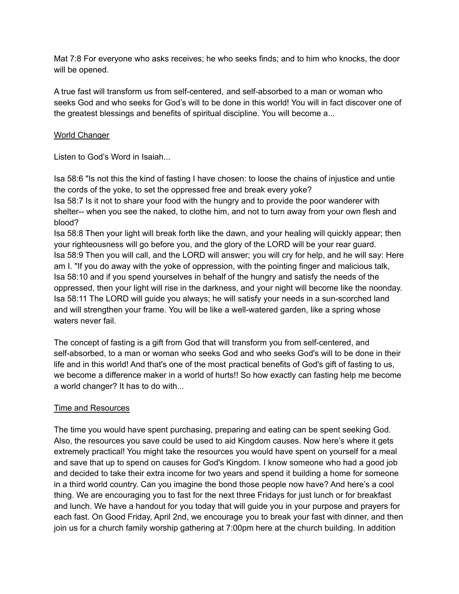Mat 7:8 For everyone who asks receives; he who seeks finds; and to him who knocks, the door will be opened.

A true fast will transform us from self-centered, and self-absorbed to a man or woman who seeks God and who seeks for God's will to be done in this world! You will in fact discover one of the greatest blessings and benefits of spiritual discipline. You will become a...

## World Changer

Listen to God's Word in Isaiah...

Isa 58:6 "Is not this the kind of fasting I have chosen: to loose the chains of injustice and untie the cords of the yoke, to set the oppressed free and break every yoke?

Isa 58:7 Is it not to share your food with the hungry and to provide the poor wanderer with shelter-- when you see the naked, to clothe him, and not to turn away from your own flesh and blood?

Isa 58:8 Then your light will break forth like the dawn, and your healing will quickly appear; then your righteousness will go before you, and the glory of the LORD will be your rear guard. Isa 58:9 Then you will call, and the LORD will answer; you will cry for help, and he will say: Here am I. "If you do away with the yoke of oppression, with the pointing finger and malicious talk, Isa 58:10 and if you spend yourselves in behalf of the hungry and satisfy the needs of the oppressed, then your light will rise in the darkness, and your night will become like the noonday. Isa 58:11 The LORD will guide you always; he will satisfy your needs in a sun-scorched land and will strengthen your frame. You will be like a well-watered garden, like a spring whose waters never fail.

The concept of fasting is a gift from God that will transform you from self-centered, and self-absorbed, to a man or woman who seeks God and who seeks God's will to be done in their life and in this world! And that's one of the most practical benefits of God's gift of fasting to us, we become a difference maker in a world of hurts!! So how exactly can fasting help me become a world changer? It has to do with...

# Time and Resources

The time you would have spent purchasing, preparing and eating can be spent seeking God. Also, the resources you save could be used to aid Kingdom causes. Now here's where it gets extremely practical! You might take the resources you would have spent on yourself for a meal and save that up to spend on causes for God's Kingdom. I know someone who had a good job and decided to take their extra income for two years and spend it building a home for someone in a third world country. Can you imagine the bond those people now have? And here's a cool thing. We are encouraging you to fast for the next three Fridays for just lunch or for breakfast and lunch. We have a handout for you today that will guide you in your purpose and prayers for each fast. On Good Friday, April 2nd, we encourage you to break your fast with dinner, and then join us for a church family worship gathering at 7:00pm here at the church building. In addition